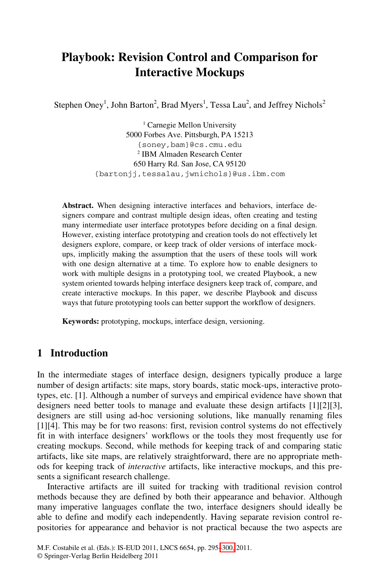# **Playbook: Revision Control and Comparison for Interactive Mockups**

Stephen Oney<sup>1</sup>, John Barton<sup>2</sup>, Brad Myers<sup>1</sup>, Tessa Lau<sup>2</sup>, and Jeffrey Nichols<sup>2</sup>

<sup>1</sup> Carnegie Mellon University 5000 Forbes Ave. Pittsburgh, PA 15213 {soney,bam}@cs.cmu.edu 2 IBM Almaden Research Center 650 Harry Rd. San Jose, CA 95120 {bartonjj,tessalau,jwnichols}@us.ibm.com

**Abstract.** When designing interactive interfaces and behaviors, interface designers compare and contrast multiple design ideas, often creating and testing many intermediate user interface prototypes before deciding on a final design. However, existing interface prototyping and creation tools do not effectively let designers explore, compare, or keep track of older versions of interface mockups, implicitly making the assumption that the users of these tools will work with one design alternative at a time. To explore how to enable designers to work with multiple designs in a prototyping tool, we created Playbook, a new system oriented towards helping interface designers keep track of, compare, and create interactive mockups. In this paper, we describe Playbook and discuss ways that future prototyping tools can better support the workflow of designers.

**Keywords:** prototyping, mockups, interface design, versioning.

#### **1 Introduction**

In the intermediate stages of interface design, designers typically produce a large number of design artifacts: site maps, story boards, static mock-ups, interactive prototypes, etc. [1]. Although a number of surveys and empirical evidence have shown that designers need better tools to manage and evaluate these design artifacts  $[1][2][3]$ , designers are still using ad-hoc versioning solutions, like manually renaming files [1][4]. This may be for two reasons: first, revision control systems do not effectively fit in with interface designers' workflows or the tools they most frequently use for creating mockups. Second, while methods for keeping track of and comparing static artifacts, like site maps, are relatively straightforward, there are no appropriate methods for keeping track of *interactive* artifacts, like interactive mockups, and this presents a significant research challenge.

Interactive artifacts are ill suited for tracking with traditional revision control methods because they are defined by both their appearance and behavior. Although many imperative languages conflate the two, interface designers should ideally be able to define and modify each independently. Having separate revision control repositories for appearance and behavior is not practical because the two aspects are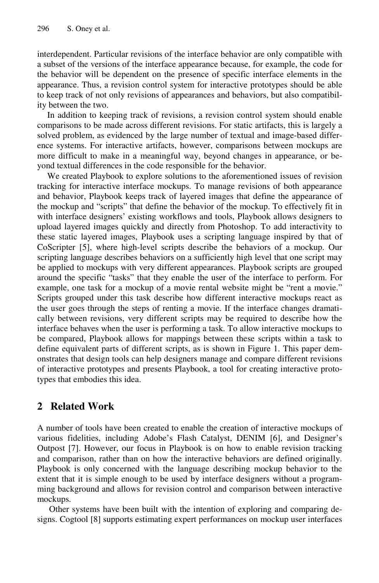interdependent. Particular revisions of the interface behavior are only compatible with a subset of the versions of the interface appearance because, for example, the code for the behavior will be dependent on the presence of specific interface elements in the appearance. Thus, a revision control system for interactive prototypes should be able to keep track of not only revisions of appearances and behaviors, but also compatibility between the two.

In addition to keeping track of revisions, a revision control system should enable comparisons to be made across different revisions. For static artifacts, this is largely a solved problem, as evidenced by the large number of textual and image-based difference systems. For interactive artifacts, however, comparisons between mockups are more difficult to make in a meaningful way, beyond changes in appearance, or beyond textual differences in the code responsible for the behavior.

We created Playbook to explore solutions to the aforementioned issues of revision tracking for interactive interface mockups. To manage revisions of both appearance and behavior, Playbook keeps track of layered images that define the appearance of the mockup and "scripts" that define the behavior of the mockup. To effectively fit in with interface designers' existing workflows and tools, Playbook allows designers to upload layered images quickly and directly from Photoshop. To add interactivity to these static layered images, Playbook uses a scripting language inspired by that of CoScripter [5], where high-level scripts describe the behaviors of a mockup. Our scripting language describes behaviors on a sufficiently high level that one script may be applied to mockups with very different appearances. Playbook scripts are grouped around the specific "tasks" that they enable the user of the interface to perform. For example, one task for a mockup of a movie rental website might be "rent a movie." Scripts grouped under this task describe how different interactive mockups react as the user goes through the steps of renting a movie. If the interface changes dramatically between revisions, very different scripts may be required to describe how the interface behaves when the user is performing a task. To allow interactive mockups to be compared, Playbook allows for mappings between these scripts within a task to define equivalent parts of different scripts, as is shown in Figure 1. This paper demonstrates that design tools can help designers manage and compare different revisions of interactive prototypes and presents Playbook, a tool for creating interactive prototypes that embodies this idea.

## **2 Related Work**

A number of tools have been created to enable the creation of interactive mockups of various fidelities, including Adobe's Flash Catalyst, DENIM [6], and Designer's Outpost [7]. However, our focus in Playbook is on how to enable revision tracking and comparison, rather than on how the interactive behaviors are defined originally. Playbook is only concerned with the language describing mockup behavior to the extent that it is simple enough to be used by interface designers without a programming background and allows for revision control and comparison between interactive mockups.

Other systems have been built with the intention of exploring and comparing designs. Cogtool [8] supports estimating expert performances on mockup user interfaces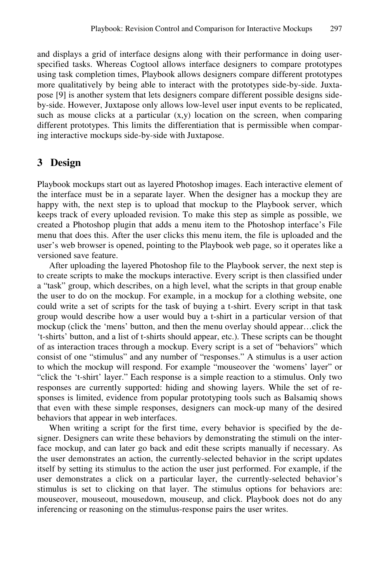and displays a grid of interface designs along with their performance in doing userspecified tasks. Whereas Cogtool allows interface designers to compare prototypes using task completion times, Playbook allows designers compare different prototypes more qualitatively by being able to interact with the prototypes side-by-side. Juxtapose [9] is another system that lets designers compare different possible designs sideby-side. However, Juxtapose only allows low-level user input events to be replicated, such as mouse clicks at a particular (x,y) location on the screen, when comparing different prototypes. This limits the differentiation that is permissible when comparing interactive mockups side-by-side with Juxtapose.

### **3 Design**

Playbook mockups start out as layered Photoshop images. Each interactive element of the interface must be in a separate layer. When the designer has a mockup they are happy with, the next step is to upload that mockup to the Playbook server, which keeps track of every uploaded revision. To make this step as simple as possible, we created a Photoshop plugin that adds a menu item to the Photoshop interface's File menu that does this. After the user clicks this menu item, the file is uploaded and the user's web browser is opened, pointing to the Playbook web page, so it operates like a versioned save feature.

After uploading the layered Photoshop file to the Playbook server, the next step is to create scripts to make the mockups interactive. Every script is then classified under a "task" group, which describes, on a high level, what the scripts in that group enable the user to do on the mockup. For example, in a mockup for a clothing website, one could write a set of scripts for the task of buying a t-shirt. Every script in that task group would describe how a user would buy a t-shirt in a particular version of that mockup (click the 'mens' button, and then the menu overlay should appear…click the 't-shirts' button, and a list of t-shirts should appear, etc.). These scripts can be thought of as interaction traces through a mockup. Every script is a set of "behaviors" which consist of one "stimulus" and any number of "responses." A stimulus is a user action to which the mockup will respond. For example "mouseover the 'womens' layer" or "click the 't-shirt' layer." Each response is a simple reaction to a stimulus. Only two responses are currently supported: hiding and showing layers. While the set of responses is limited, evidence from popular prototyping tools such as Balsamiq shows that even with these simple responses, designers can mock-up many of the desired behaviors that appear in web interfaces.

When writing a script for the first time, every behavior is specified by the designer. Designers can write these behaviors by demonstrating the stimuli on the interface mockup, and can later go back and edit these scripts manually if necessary. As the user demonstrates an action, the currently-selected behavior in the script updates itself by setting its stimulus to the action the user just performed. For example, if the user demonstrates a click on a particular layer, the currently-selected behavior's stimulus is set to clicking on that layer. The stimulus options for behaviors are: mouseover, mouseout, mousedown, mouseup, and click. Playbook does not do any inferencing or reasoning on the stimulus-response pairs the user writes.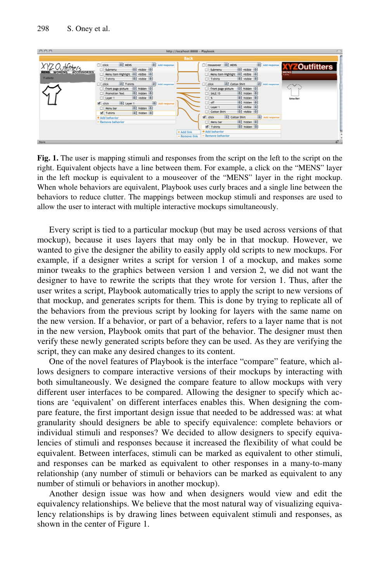

**Fig. 1.** The user is mapping stimuli and responses from the script on the left to the script on the right. Equivalent objects have a line between them. For example, a click on the "MENS" layer in the left mockup is equivalent to a mouseover of the "MENS" layer in the right mockup. When whole behaviors are equivalent, Playbook uses curly braces and a single line between the behaviors to reduce clutter. The mappings between mockup stimuli and responses are used to allow the user to interact with multiple interactive mockups simultaneously.

Every script is tied to a particular mockup (but may be used across versions of that mockup), because it uses layers that may only be in that mockup. However, we wanted to give the designer the ability to easily apply old scripts to new mockups. For example, if a designer writes a script for version 1 of a mockup, and makes some minor tweaks to the graphics between version 1 and version 2, we did not want the designer to have to rewrite the scripts that they wrote for version 1. Thus, after the user writes a script, Playbook automatically tries to apply the script to new versions of that mockup, and generates scripts for them. This is done by trying to replicate all of the behaviors from the previous script by looking for layers with the same name on the new version. If a behavior, or part of a behavior, refers to a layer name that is not in the new version, Playbook omits that part of the behavior. The designer must then verify these newly generated scripts before they can be used. As they are verifying the script, they can make any desired changes to its content.

One of the novel features of Playbook is the interface "compare" feature, which allows designers to compare interactive versions of their mockups by interacting with both simultaneously. We designed the compare feature to allow mockups with very different user interfaces to be compared. Allowing the designer to specify which actions are 'equivalent' on different interfaces enables this. When designing the compare feature, the first important design issue that needed to be addressed was: at what granularity should designers be able to specify equivalence: complete behaviors or individual stimuli and responses? We decided to allow designers to specify equivalencies of stimuli and responses because it increased the flexibility of what could be equivalent. Between interfaces, stimuli can be marked as equivalent to other stimuli, and responses can be marked as equivalent to other responses in a many-to-many relationship (any number of stimuli or behaviors can be marked as equivalent to any number of stimuli or behaviors in another mockup).

Another design issue was how and when designers would view and edit the equivalency relationships. We believe that the most natural way of visualizing equivalency relationships is by drawing lines between equivalent stimuli and responses, as shown in the center of Figure 1.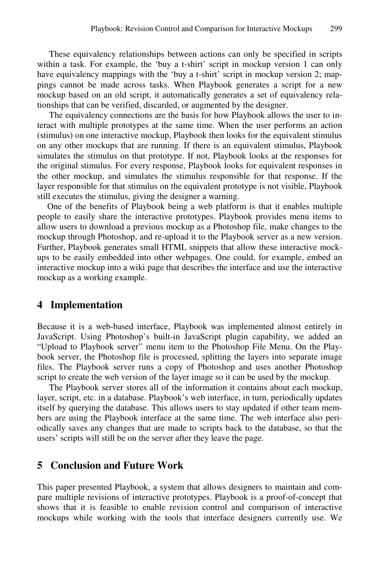These equivalency relationships between actions can only be specified in scripts within a task. For example, the 'buy a t-shirt' script in mockup version 1 can only have equivalency mappings with the 'buy a t-shirt' script in mockup version 2; mappings cannot be made across tasks. When Playbook generates a script for a new mockup based on an old script, it automatically generates a set of equivalency relationships that can be verified, discarded, or augmented by the designer.

The equivalency connections are the basis for how Playbook allows the user to interact with multiple prototypes at the same time. When the user performs an action (stimulus) on one interactive mockup, Playbook then looks for the equivalent stimulus on any other mockups that are running. If there is an equivalent stimulus, Playbook simulates the stimulus on that prototype. If not, Playbook looks at the responses for the original stimulus. For every response, Playbook looks for equivalent responses in the other mockup, and simulates the stimulus responsible for that response. If the layer responsible for that stimulus on the equivalent prototype is not visible, Playbook still executes the stimulus, giving the designer a warning.

One of the benefits of Playbook being a web platform is that it enables multiple people to easily share the interactive prototypes. Playbook provides menu items to allow users to download a previous mockup as a Photoshop file, make changes to the mockup through Photoshop, and re-upload it to the Playbook server as a new version. Further, Playbook generates small HTML snippets that allow these interactive mockups to be easily embedded into other webpages. One could, for example, embed an interactive mockup into a wiki page that describes the interface and use the interactive mockup as a working example.

#### **4 Implementation**

Because it is a web-based interface, Playbook was implemented almost entirely in JavaScript. Using Photoshop's built-in JavaScript plugin capability, we added an "Upload to Playbook server" menu item to the Photoshop File Menu. On the Playbook server, the Photoshop file is processed, splitting the layers into separate image files. The Playbook server runs a copy of Photoshop and uses another Photoshop script to create the web version of the layer image so it can be used by the mockup.

The Playbook server stores all of the information it contains about each mockup, layer, script, etc. in a database. Playbook's web interface, in turn, periodically updates itself by querying the database. This allows users to stay updated if other team members are using the Playbook interface at the same time. The web interface also periodically saves any changes that are made to scripts back to the database, so that the users' scripts will still be on the server after they leave the page.

#### **5 Conclusion and Future Work**

This paper presented Playbook, a system that allows designers to maintain and compare multiple revisions of interactive prototypes. Playbook is a proof-of-concept that shows that it is feasible to enable revision control and comparison of interactive mockups while working with the tools that interface designers currently use. We